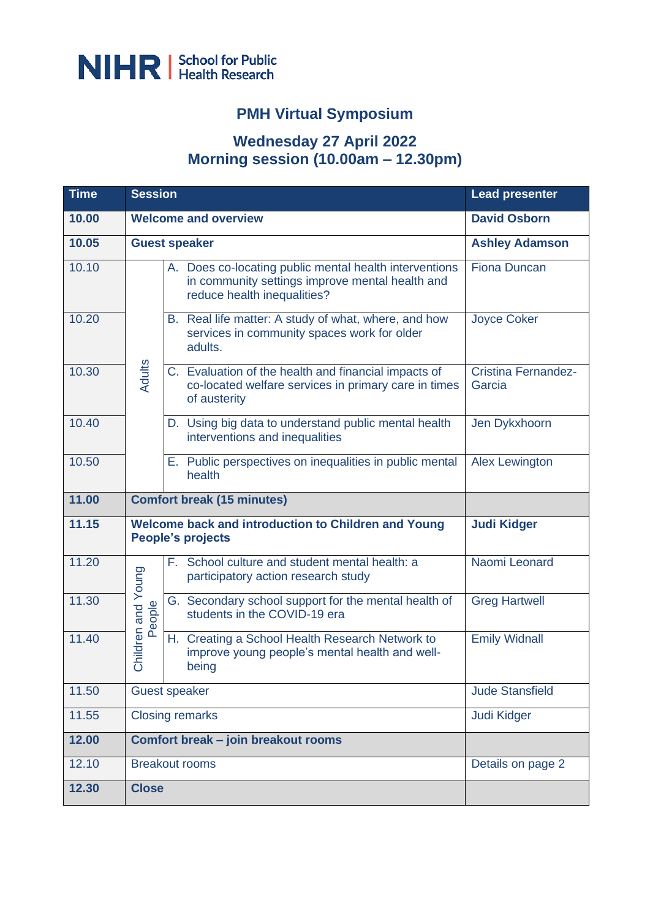

## **PMH Virtual Symposium**

## **Wednesday 27 April 2022 Morning session (10.00am – 12.30pm)**

| <b>Time</b> | <b>Session</b>                    |                                                                                                                                          | <b>Lead presenter</b>                |
|-------------|-----------------------------------|------------------------------------------------------------------------------------------------------------------------------------------|--------------------------------------|
| 10.00       |                                   | <b>Welcome and overview</b>                                                                                                              | <b>David Osborn</b>                  |
| 10.05       |                                   | <b>Guest speaker</b>                                                                                                                     | <b>Ashley Adamson</b>                |
| 10.10       |                                   | A. Does co-locating public mental health interventions<br>in community settings improve mental health and<br>reduce health inequalities? | <b>Fiona Duncan</b>                  |
| 10.20       | Adults                            | B. Real life matter: A study of what, where, and how<br>services in community spaces work for older<br>adults.                           | <b>Joyce Coker</b>                   |
| 10.30       |                                   | C. Evaluation of the health and financial impacts of<br>co-located welfare services in primary care in times<br>of austerity             | <b>Cristina Fernandez-</b><br>Garcia |
| 10.40       |                                   | D. Using big data to understand public mental health<br>interventions and inequalities                                                   | Jen Dykxhoorn                        |
| 10.50       |                                   | E. Public perspectives on inequalities in public mental<br>health                                                                        | <b>Alex Lewington</b>                |
| 11.00       | <b>Comfort break (15 minutes)</b> |                                                                                                                                          |                                      |
| 11.15       |                                   | Welcome back and introduction to Children and Young<br><b>People's projects</b>                                                          | <b>Judi Kidger</b>                   |
| 11.20       |                                   | F. School culture and student mental health: a<br>participatory action research study                                                    | Naomi Leonard                        |
| 11.30       | People                            | G. Secondary school support for the mental health of<br>students in the COVID-19 era                                                     | <b>Greg Hartwell</b>                 |
| 11.40       | Children and Young                | H. Creating a School Health Research Network to<br>improve young people's mental health and well-<br>being                               | <b>Emily Widnall</b>                 |
| 11.50       | <b>Guest speaker</b>              |                                                                                                                                          | <b>Jude Stansfield</b>               |
| 11.55       | <b>Closing remarks</b>            |                                                                                                                                          | Judi Kidger                          |
| 12.00       |                                   | Comfort break - join breakout rooms                                                                                                      |                                      |
| 12.10       | <b>Breakout rooms</b>             |                                                                                                                                          | Details on page 2                    |
| 12.30       | <b>Close</b>                      |                                                                                                                                          |                                      |